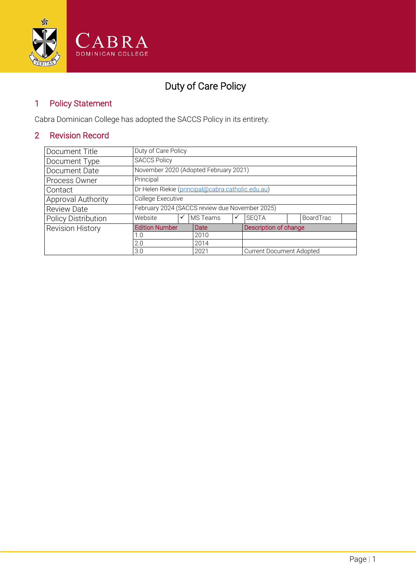

# Duty of Care Policy

# 1 Policy Statement

Cabra Dominican College has adopted the SACCS Policy in its entirety.

# 2 Revision Record

| Document Title             | Duty of Care Policy                               |      |             |                                 |                       |  |           |  |
|----------------------------|---------------------------------------------------|------|-------------|---------------------------------|-----------------------|--|-----------|--|
| Document Type              | <b>SACCS Policy</b>                               |      |             |                                 |                       |  |           |  |
| Document Date              | November 2020 (Adopted February 2021)             |      |             |                                 |                       |  |           |  |
| Process Owner              | Principal                                         |      |             |                                 |                       |  |           |  |
| Contact                    | Dr Helen Riekie (principal@cabra.catholic.edu.au) |      |             |                                 |                       |  |           |  |
| Approval Authority         | College Executive                                 |      |             |                                 |                       |  |           |  |
| <b>Review Date</b>         | February 2024 (SACCS review due November 2025)    |      |             |                                 |                       |  |           |  |
| <b>Policy Distribution</b> | Website                                           | ✓    | MS Teams    | ✓                               | <b>SEOTA</b>          |  | BoardTrac |  |
| <b>Revision History</b>    | <b>Edition Number</b>                             |      | <b>Date</b> |                                 | Description of change |  |           |  |
|                            | 1.0                                               |      | 2010        |                                 |                       |  |           |  |
|                            | 2.0                                               |      | 2014        |                                 |                       |  |           |  |
| 3.0                        |                                                   | 2021 |             | <b>Current Document Adopted</b> |                       |  |           |  |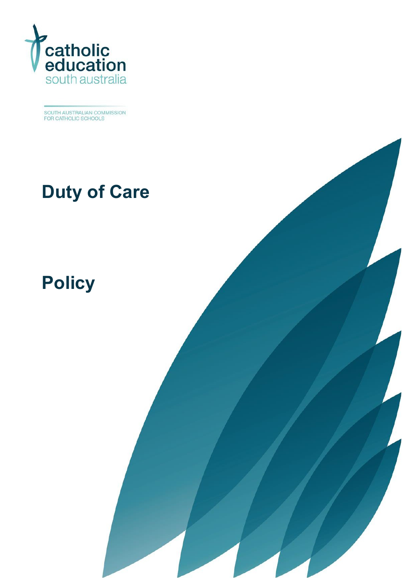

SOUTH AUSTRALIAN COMMISSION<br>FOR CATHOLIC SCHOOLS

# **Duty of Care**

Duty of Care Policy 2020 1

# **[Policy](#page-5-0)**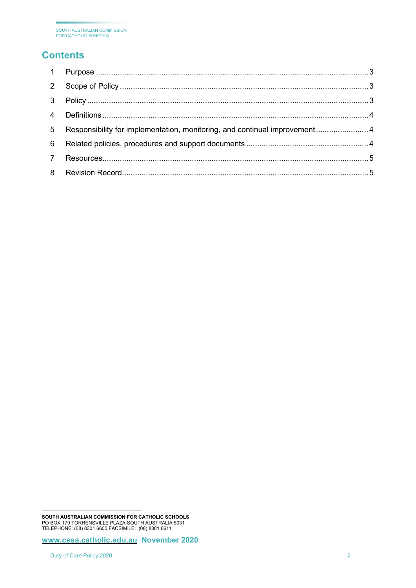# **Contents**

| 2              |                                                                           |  |
|----------------|---------------------------------------------------------------------------|--|
| $\mathbf{3}$   |                                                                           |  |
| $\overline{4}$ |                                                                           |  |
| 5              | Responsibility for implementation, monitoring, and continual improvement4 |  |
| 6              |                                                                           |  |
|                |                                                                           |  |
| 8              |                                                                           |  |

**[www.cesa.catholic.edu.au](http://www.cesa.catholic.edu.au/) November 2020**

<span id="page-2-0"></span>**SOUTH AUSTRALIAN COMMISSION FOR CATHOLIC SCHOOLS** PO BOX 179 TORRENSVILLE PLAZA SOUTH AUSTRALIA 5031 TELEPHONE: (08) 8301 6600 FACSIMILE: (08) 8301 6611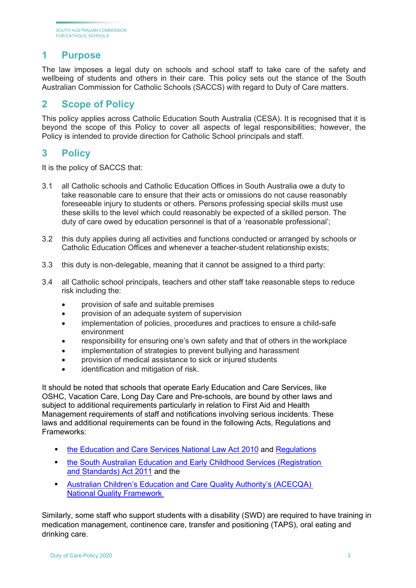### <span id="page-3-0"></span>**1 Purpose**

The law imposes a legal duty on schools and school staff to take care of the safety and wellbeing of students and others in their care. This policy sets out the stance of the South Australian Commission for Catholic Schools (SACCS) with regard to Duty of Care matters.

#### <span id="page-3-1"></span>**2 Scope of Policy**

This policy applies across Catholic Education South Australia (CESA). It is recognised that it is beyond the scope of this Policy to cover all aspects of legal responsibilities; however, the Policy is intended to provide direction for Catholic School principals and staff.

#### <span id="page-3-2"></span>**3 Policy**

It is the policy of SACCS that:

- 3.1 all Catholic schools and Catholic Education Offices in South Australia owe a duty to take reasonable care to ensure that their acts or omissions do not cause reasonably foreseeable injury to students or others. Persons professing special skills must use these skills to the level which could reasonably be expected of a skilled person. The duty of care owed by education personnel is that of a 'reasonable professional';
- 3.2 this duty applies during all activities and functions conducted or arranged by schools or Catholic Education Offices and whenever a teacher-student relationship exists;
- 3.3 this duty is non-delegable, meaning that it cannot be assigned to a third party:
- 3.4 all Catholic school principals, teachers and other staff take reasonable steps to reduce risk including the:
	- provision of safe and suitable premises
	- provision of an adequate system of supervision
	- implementation of policies, procedures and practices to ensure a child-safe environment
	- responsibility for ensuring one's own safety and that of others in the workplace
	- implementation of strategies to prevent bullying and harassment
	- provision of medical assistance to sick or injured students
	- identification and mitigation of risk.

It should be noted that schools that operate Early Education and Care Services, like OSHC, Vacation Care, Long Day Care and Pre-schools, are bound by other laws and subject to additional requirements particularly in relation to First Aid and Health Management requirements of staff and notifications involving serious incidents. These laws and additional requirements can be found in the following Acts, Regulations and Frameworks:

- the [Education and Care Services National Law Act 2010](https://aus01.safelinks.protection.outlook.com/?url=https%3A%2F%2Fwww.acecqa.gov.au%2Fnqf%2Fnational-law-regulations%2Fnational-law&data=02%7C01%7CSteve.Genesin%40cesa.catholic.edu.au%7C204092769bcb4991b84008d84b1bbf2e%7C324d0eab8f464c94aeff237148fb968e%7C0%7C0%7C637341929830531741&sdata=7X9titqvt1wwOvNvqgRMrjGm%2B1yeoPkG8iQ71g%2B8I18%3D&reserved=0) and [Regulations](https://aus01.safelinks.protection.outlook.com/?url=https%3A%2F%2Fwww.legislation.nsw.gov.au%2F%23%2Fview%2Fregulation%2F2011%2F653&data=02%7C01%7CSteve.Genesin%40cesa.catholic.edu.au%7C204092769bcb4991b84008d84b1bbf2e%7C324d0eab8f464c94aeff237148fb968e%7C0%7C0%7C637341929830541738&sdata=6n4jtJVKqjXq57c0ux4y%2FBK0wV1jwpohY1vQoPNnChE%3D&reserved=0)
- [the South Australian Education and Early Childhood Services \(Registration](https://aus01.safelinks.protection.outlook.com/?url=https%3A%2F%2Fwww.legislation.sa.gov.au%2FLZ%2FC%2FA%2FEDUCATION%2520AND%2520EARLY%2520CHILDHOOD%2520SERVICES%2520(REGISTRATION%2520AND%2520STANDARDS)%2520ACT%25202011%2FCURRENT%2F2011.46.AUTH.PDF&data=02%7C01%7CSteve.Genesin%40cesa.catholic.edu.au%7C204092769bcb4991b84008d84b1bbf2e%7C324d0eab8f464c94aeff237148fb968e%7C0%7C0%7C637341929830541738&sdata=gYEYPB4P0B8QfqZzoTp%2FWCYgWgMatuuyGEaCbI4pFng%3D&reserved=0)  [and Standards\) Act 2011](https://aus01.safelinks.protection.outlook.com/?url=https%3A%2F%2Fwww.legislation.sa.gov.au%2FLZ%2FC%2FA%2FEDUCATION%2520AND%2520EARLY%2520CHILDHOOD%2520SERVICES%2520(REGISTRATION%2520AND%2520STANDARDS)%2520ACT%25202011%2FCURRENT%2F2011.46.AUTH.PDF&data=02%7C01%7CSteve.Genesin%40cesa.catholic.edu.au%7C204092769bcb4991b84008d84b1bbf2e%7C324d0eab8f464c94aeff237148fb968e%7C0%7C0%7C637341929830541738&sdata=gYEYPB4P0B8QfqZzoTp%2FWCYgWgMatuuyGEaCbI4pFng%3D&reserved=0) and the
- [Australian Children's Education and Care Quality Authority's \(ACECQA\)](https://aus01.safelinks.protection.outlook.com/?url=https%3A%2F%2Fwww.acecqa.gov.au%2Fsites%2Fdefault%2Ffiles%2F2020-01%2FGuide-to-the-NQF_2.pdf&data=02%7C01%7CSteve.Genesin%40cesa.catholic.edu.au%7C204092769bcb4991b84008d84b1bbf2e%7C324d0eab8f464c94aeff237148fb968e%7C0%7C0%7C637341929830551733&sdata=8ZbzKn%2BgBJXr1F1lwb2hXWEok4%2BWvONeEGvlmCLlTo0%3D&reserved=0)  [National Quality Framework](https://aus01.safelinks.protection.outlook.com/?url=https%3A%2F%2Fwww.acecqa.gov.au%2Fsites%2Fdefault%2Ffiles%2F2020-01%2FGuide-to-the-NQF_2.pdf&data=02%7C01%7CSteve.Genesin%40cesa.catholic.edu.au%7C204092769bcb4991b84008d84b1bbf2e%7C324d0eab8f464c94aeff237148fb968e%7C0%7C0%7C637341929830551733&sdata=8ZbzKn%2BgBJXr1F1lwb2hXWEok4%2BWvONeEGvlmCLlTo0%3D&reserved=0)

Similarly, some staff who support students with a disability (SWD) are required to have training in medication management, continence care, transfer and positioning (TAPS), oral eating and drinking care.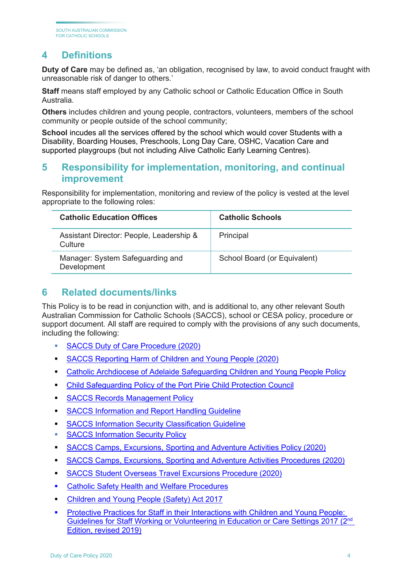# <span id="page-4-0"></span>**4 Definitions**

**Duty of Care** may be defined as, 'an obligation, recognised by law, to avoid conduct fraught with unreasonable risk of danger to others.'

**Staff** means staff employed by any Catholic school or Catholic Education Office in South Australia.

**Others** includes children and young people, contractors, volunteers, members of the school community or people outside of the school community;

School incudes all the services offered by the school which would cover Students with a Disability, Boarding Houses, Preschools, Long Day Care, OSHC, Vacation Care and supported playgroups (but not including Alive Catholic Early Learning Centres).

#### <span id="page-4-1"></span>**5 Responsibility for implementation, monitoring, and continual improvement**

Responsibility for implementation, monitoring and review of the policy is vested at the level appropriate to the following roles:

| <b>Catholic Education Offices</b>                   | <b>Catholic Schools</b>      |
|-----------------------------------------------------|------------------------------|
| Assistant Director: People, Leadership &<br>Culture | Principal                    |
| Manager: System Safeguarding and<br>Development     | School Board (or Equivalent) |

#### <span id="page-4-2"></span>**6 Related documents/links**

This Policy is to be read in conjunction with, and is additional to, any other relevant South Australian Commission for Catholic Schools (SACCS), school or CESA policy, procedure or support document. All staff are required to comply with the provisions of any such documents, including the following:

- [SACCS Duty of Care Procedure](https://online.cesa.catholic.edu.au/docushare/dsweb/Get/Document-27404/Duty+of+Care+Procedure.pdf) (2020)
- **[SACCS Reporting Harm of Children and Young People \(2020\)](https://online.cesa.catholic.edu.au/docushare/dsweb/Get/Document-33949/Reporting+Harm+of+Children+and+Young+People+Procedure_2020_SACCS.pdf)**
- [Catholic Archdiocese of Adelaide Safeguarding Children and Young People Policy](https://adelaide.catholic.org.au/__files/f/43167/Safeguarding%20Children%20and%20Young%20People%20Policy.pdf)
- [Child Safeguarding Policy of the Port Pirie Child Protection Council](http://www.pp.catholic.org.au/__files/d/9704/CDPP%20Child%20Safeguarding%20Policy.pdf)
- **[SACCS Records Management Policy](https://online.cesa.catholic.edu.au/docushare/dsweb/Get/Document-33662/SACCS+Records+Management+Policy.pdf)**
- **[SACCS Information and Report Handling Guideline](https://online.cesa.catholic.edu.au/docushare/dsweb/Get/Document-33160/SACCS+Information+and+Report+Handling+Guideline.pdf)**
- [SACCS Information Security Classification Guideline](https://online.cesa.catholic.edu.au/docushare/dsweb/Get/Document-31787/SACCS%2BInformation%2BSecurity%2BClassification%2BGuideline.pdf)
- **[SACCS Information Security Policy](https://online.cesa.catholic.edu.au/docushare/dsweb/Get/Document-31782/SACCS+Information+Security+Policy.pdf)**
- [SACCS Camps, Excursions, Sporting and Adventure Activities Policy \(2020\)](https://online.cesa.catholic.edu.au/docushare/dsweb/Get/Document-34276/Policy_Camps%2C+Excursions%2C+Sporting+and+Adventure+Activities_2020.pdf)
- [SACCS Camps, Excursions, Sporting and Adventure Activities Procedures \(2020\)](https://online.cesa.catholic.edu.au/docushare/dsweb/Get/Document-34293/Procedure_Camps%2C+Excursions%2C+Sporting+and+Adventure+Activities_SG.pdf)
- [SACCS Student Overseas Travel Excursions](https://online.cesa.catholic.edu.au/docushare/dsweb/Get/Document-34274/Student+Overseas+Travel+Excursions+Procedure_2020.pdf) Procedure (2020)
- **EXEC** Catholic [Safety Health and Welfare Procedures](https://www.cshwsa.org.au/procedures/)
- [Children and Young People \(Safety\) Act 2017](https://www.legislation.sa.gov.au/LZ/C/A/Children%20and%20Young%20People%20(Safety)%20Act%202017.aspx)
- [Protective Practices for Staff in their Interactions with Children and Young People:](https://online.cesa.catholic.edu.au/docushare/dsweb/Get/Document-33040/protective_practices_for_staff_in_their_interactions_with_children_and_young_people.pdf)  [Guidelines for Staff Working or Volunteering in Education or Care Settings 2017 \(2nd](https://online.cesa.catholic.edu.au/docushare/dsweb/Get/Document-33040/protective_practices_for_staff_in_their_interactions_with_children_and_young_people.pdf) [Edition, revised 2019\)](https://online.cesa.catholic.edu.au/docushare/dsweb/Get/Document-33040/protective_practices_for_staff_in_their_interactions_with_children_and_young_people.pdf)